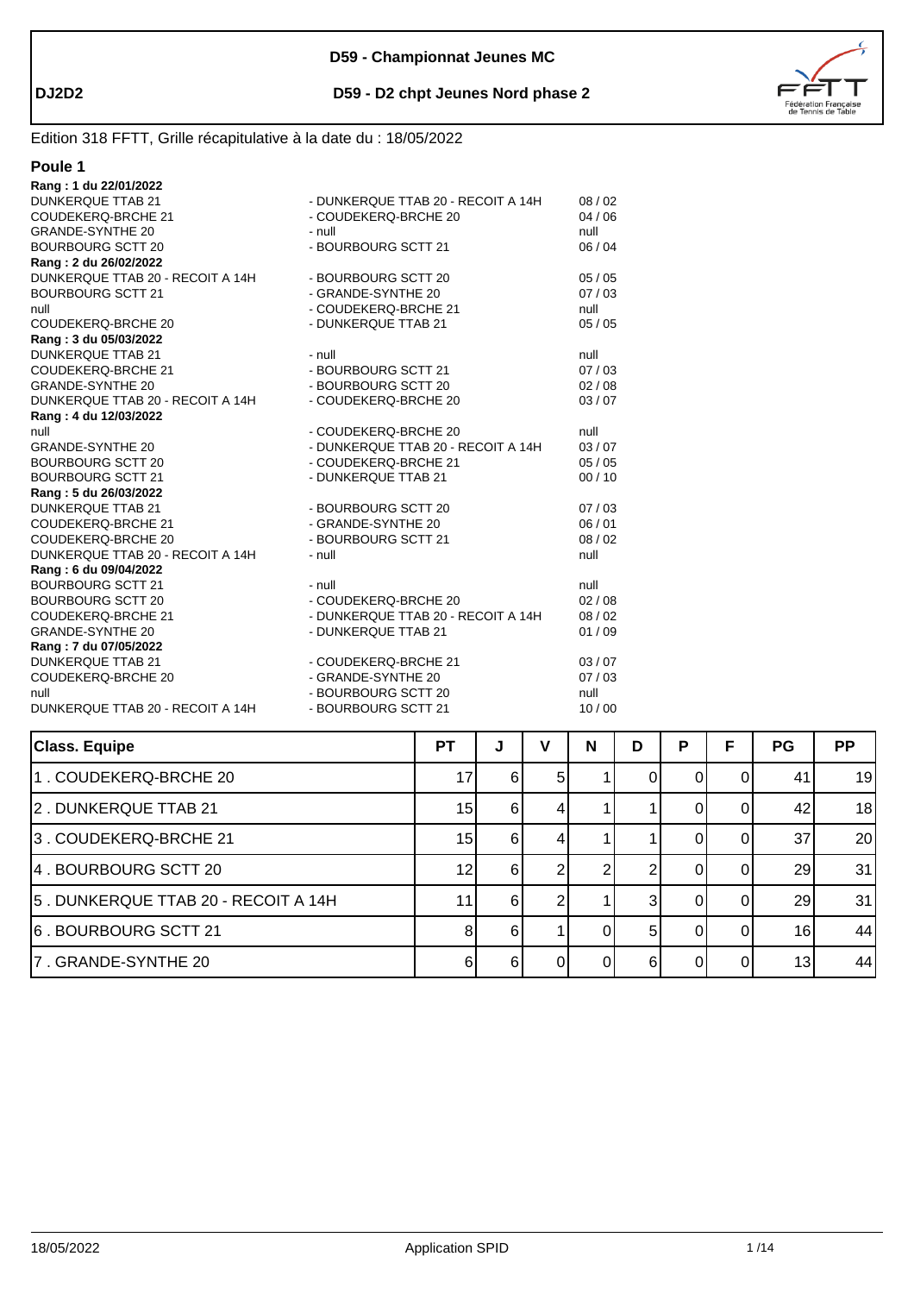



| Poule 1                          |                                    |       |
|----------------------------------|------------------------------------|-------|
| Rang: 1 du 22/01/2022            |                                    |       |
| <b>DUNKERQUE TTAB 21</b>         | - DUNKERQUE TTAB 20 - RECOIT A 14H | 08/02 |
| <b>COUDEKERQ-BRCHE 21</b>        | - COUDEKERQ-BRCHE 20               | 04/06 |
| <b>GRANDE-SYNTHE 20</b>          | - null                             | null  |
| <b>BOURBOURG SCTT 20</b>         | - BOURBOURG SCTT 21                | 06/04 |
| Rang: 2 du 26/02/2022            |                                    |       |
| DUNKERQUE TTAB 20 - RECOIT A 14H | - BOURBOURG SCTT 20                | 05/05 |
| <b>BOURBOURG SCTT 21</b>         | - GRANDE-SYNTHE 20                 | 07/03 |
| null                             | - COUDEKERQ-BRCHE 21               | null  |
| COUDEKERQ-BRCHE 20               | - DUNKERQUE TTAB 21                | 05/05 |
| Rang: 3 du 05/03/2022            |                                    |       |
| <b>DUNKERQUE TTAB 21</b>         | - null                             | null  |
| COUDEKERQ-BRCHE 21               | - BOURBOURG SCTT 21                | 07/03 |
| <b>GRANDE-SYNTHE 20</b>          | - BOURBOURG SCTT 20                | 02/08 |
| DUNKERQUE TTAB 20 - RECOIT A 14H | - COUDEKERQ-BRCHE 20               | 03/07 |
| Rang: 4 du 12/03/2022            |                                    |       |
| null                             | - COUDEKERQ-BRCHE 20               | null  |
| GRANDE-SYNTHE 20                 | - DUNKERQUE TTAB 20 - RECOIT A 14H | 03/07 |
| BOURBOURG SCTT 20                | - COUDEKERQ-BRCHE 21               | 05/05 |
| <b>BOURBOURG SCTT 21</b>         | - DUNKERQUE TTAB 21                | 00/10 |
| Rang: 5 du 26/03/2022            |                                    |       |
| <b>DUNKERQUE TTAB 21</b>         | - BOURBOURG SCTT 20                | 07/03 |
| COUDEKERQ-BRCHE 21               | - GRANDE-SYNTHE 20                 | 06/01 |
| COUDEKERQ-BRCHE 20               | - BOURBOURG SCTT 21                | 08/02 |
| DUNKERQUE TTAB 20 - RECOIT A 14H | - null                             | null  |
| Rang: 6 du 09/04/2022            |                                    |       |
| <b>BOURBOURG SCTT 21</b>         | - null                             | null  |
| BOURBOURG SCTT 20                | - COUDEKERQ-BRCHE 20               | 02/08 |
| COUDEKERQ-BRCHE 21               | - DUNKERQUE TTAB 20 - RECOIT A 14H | 08/02 |
| <b>GRANDE-SYNTHE 20</b>          | - DUNKERQUE TTAB 21                | 01/09 |
| Rang: 7 du 07/05/2022            |                                    |       |
| <b>DUNKERQUE TTAB 21</b>         | - COUDEKERQ-BRCHE 21               | 03/07 |
| COUDEKERQ-BRCHE 20               | - GRANDE-SYNTHE 20                 | 07/03 |
| null                             | - BOURBOURG SCTT 20                | null  |
| DUNKERQUE TTAB 20 - RECOIT A 14H | - BOURBOURG SCTT 21                | 10/00 |

| <b>Class. Equipe</b>                | <b>PT</b> | J | ν  | N | D        | P | F | PG              | <b>PP</b> |
|-------------------------------------|-----------|---|----|---|----------|---|---|-----------------|-----------|
| 1. COUDEKERQ-BRCHE 20               | 17        | 6 | 51 |   |          |   |   | 41              | 19        |
| 2. DUNKERQUE TTAB 21                | 15        | 6 | 4. |   |          |   |   | 42              | 18        |
| 3. COUDEKERQ-BRCHE 21               | 15        | 6 |    |   |          |   |   | 37              | 20        |
| 4. BOURBOURG SCTT 20                | 12        | 6 |    |   |          |   |   | 29              | 31        |
| 5. DUNKERQUE TTAB 20 - RECOIT A 14H | 11        | 6 |    |   |          |   |   | 29              | 31        |
| 6. BOURBOURG SCTT 21                | 8         | 6 |    |   | 5        |   |   | 16 <sub>1</sub> | 44        |
| 7. GRANDE-SYNTHE 20                 | 6         | 6 | ΩI | 0 | $6 \mid$ |   |   | 13              | 44        |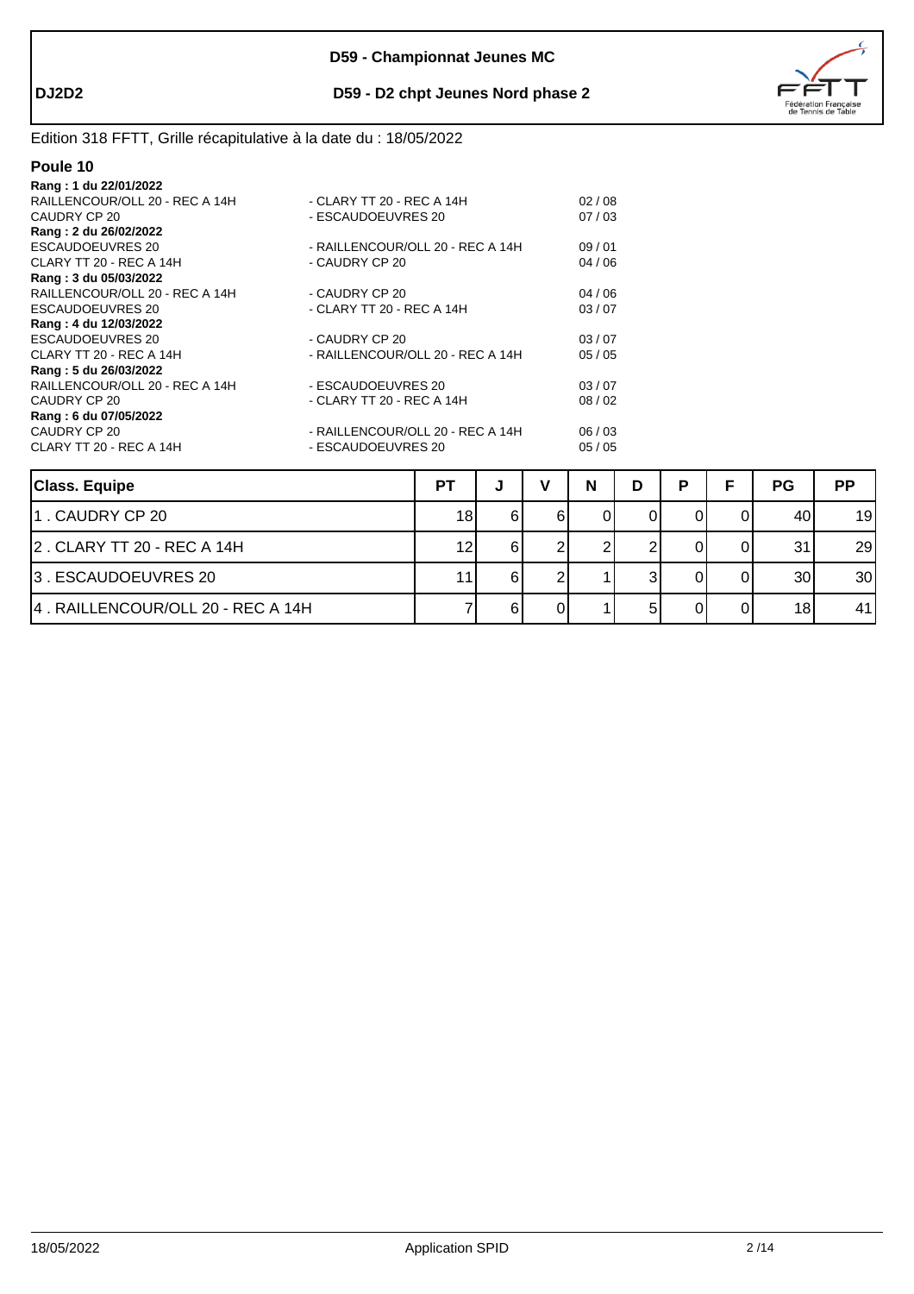



| Rang: 1 du 22/01/2022          |                                  |       |
|--------------------------------|----------------------------------|-------|
| RAILLENCOUR/OLL 20 - REC A 14H | - CLARY TT 20 - REC A 14H        | 02/08 |
| CAUDRY CP 20                   | - ESCAUDOEUVRES 20               | 07/03 |
| Rang: 2 du 26/02/2022          |                                  |       |
| ESCAUDOEUVRES 20               | - RAILLENCOUR/OLL 20 - REC A 14H | 09/01 |
| CLARY TT 20 - REC A 14H        | - CAUDRY CP 20                   | 04/06 |
| Rang: 3 du 05/03/2022          |                                  |       |
| RAILLENCOUR/OLL 20 - REC A 14H | - CAUDRY CP 20                   | 04/06 |
| ESCAUDOEUVRES 20               | - CLARY TT 20 - REC A 14H        | 03/07 |
| Rang: 4 du 12/03/2022          |                                  |       |
| <b>ESCAUDOEUVRES 20</b>        | - CAUDRY CP 20                   | 03/07 |
| CLARY TT 20 - REC A 14H        | - RAILLENCOUR/OLL 20 - REC A 14H | 05/05 |
| Rang: 5 du 26/03/2022          |                                  |       |
| RAILLENCOUR/OLL 20 - REC A 14H | - ESCAUDOEUVRES 20               | 03/07 |
| CAUDRY CP 20                   | - CLARY TT 20 - REC A 14H        | 08/02 |
| Rang: 6 du 07/05/2022          |                                  |       |
| CAUDRY CP 20                   | - RAILLENCOUR/OLL 20 - REC A 14H | 06/03 |
| CLARY TT 20 - REC A 14H        | - ESCAUDOEUVRES 20               | 05/05 |
|                                |                                  |       |

| <b>Class. Equipe</b>              | РT | w | N | D | D | Е | <b>PG</b> | <b>PP</b> |
|-----------------------------------|----|---|---|---|---|---|-----------|-----------|
| 1. CAUDRY CP 20                   | 18 |   |   |   |   |   | 40        | 19        |
| 2. CLARY TT 20 - REC A 14H        | 12 |   |   |   |   |   | 31        | 29        |
| 3. ESCAUDOEUVRES 20               | 11 |   |   |   |   |   | 30        | 30        |
| 4. RAILLENCOUR/OLL 20 - REC A 14H |    |   |   |   |   |   | 18        | 41        |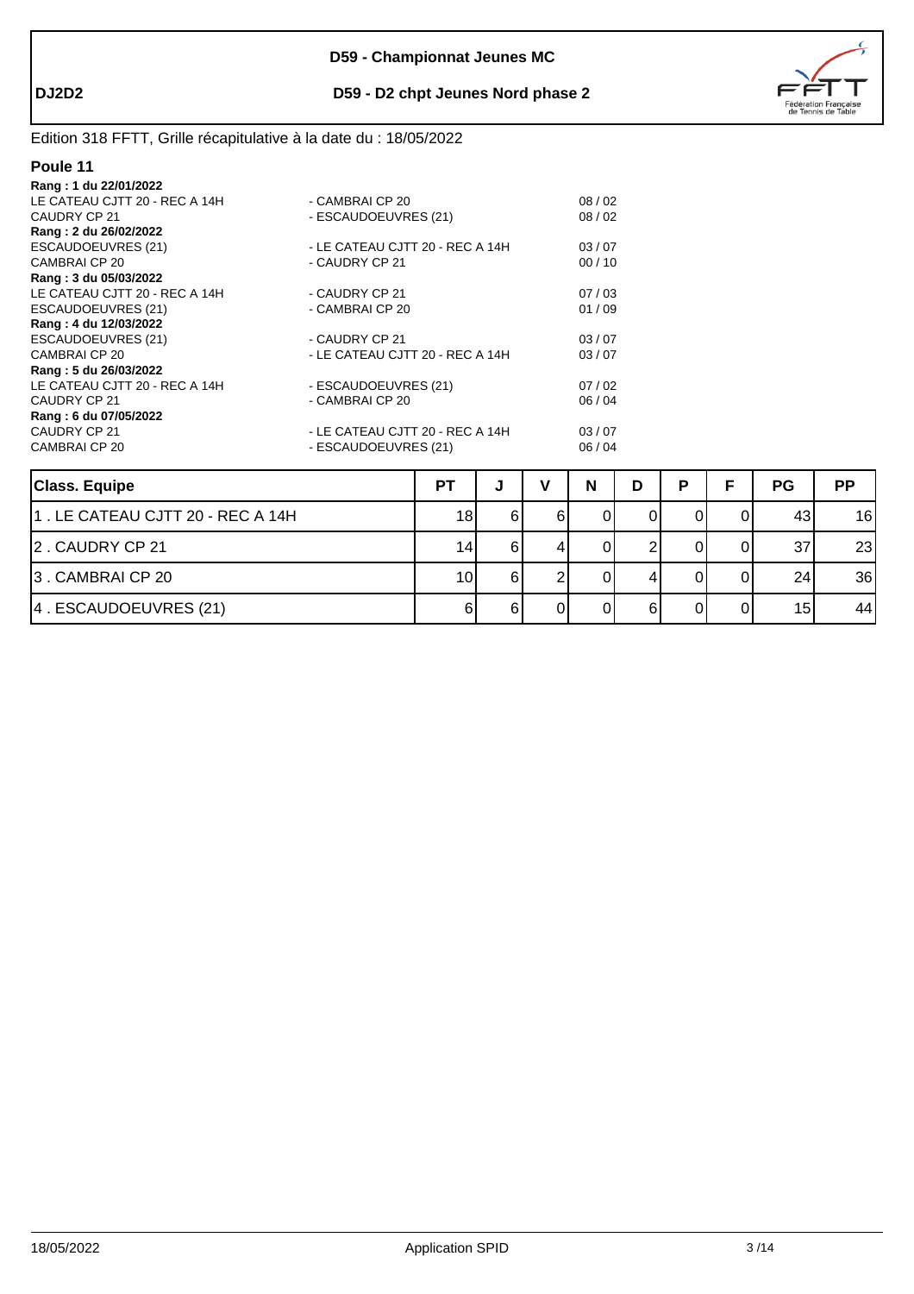

# Edition 318 FFTT, Grille récapitulative à la date du : 18/05/2022

| Rang: 1 du 22/01/2022         |                                 |       |
|-------------------------------|---------------------------------|-------|
| LE CATEAU CJTT 20 - REC A 14H | - CAMBRAI CP 20                 | 08/02 |
| CAUDRY CP 21                  | - ESCAUDOEUVRES (21)            | 08/02 |
| Rang: 2 du 26/02/2022         |                                 |       |
| ESCAUDOEUVRES (21)            | - LE CATEAU CJTT 20 - REC A 14H | 03/07 |
| CAMBRAI CP 20                 | - CAUDRY CP 21                  | 00/10 |
| Rang: 3 du 05/03/2022         |                                 |       |
| LE CATEAU CJTT 20 - REC A 14H | - CAUDRY CP 21                  | 07/03 |
| <b>ESCAUDOEUVRES (21)</b>     | - CAMBRAI CP 20                 | 01/09 |
| Rang: 4 du 12/03/2022         |                                 |       |
| ESCAUDOEUVRES (21)            | - CAUDRY CP 21                  | 03/07 |
| CAMBRAI CP 20                 | - LE CATEAU CJTT 20 - REC A 14H | 03/07 |
| Rang: 5 du 26/03/2022         |                                 |       |
| LE CATEAU CJTT 20 - REC A 14H | - ESCAUDOEUVRES (21)            | 07/02 |
| CAUDRY CP 21                  | - CAMBRAI CP 20                 | 06/04 |
| Rang: 6 du 07/05/2022         |                                 |       |
| CAUDRY CP 21                  | - LE CATEAU CJTT 20 - REC A 14H | 03/07 |
| <b>CAMBRAI CP 20</b>          | - ESCAUDOEUVRES (21)            | 06/04 |
|                               |                                 |       |

| <b>Class. Equipe</b>             | <b>PT</b> |   | N | D | D | Е  | <b>PG</b> | <b>PP</b> |
|----------------------------------|-----------|---|---|---|---|----|-----------|-----------|
| 1. LE CATEAU CJTT 20 - REC A 14H | 18        |   |   |   |   | Οl | 43        | 16        |
| 2. CAUDRY CP 21                  | 14        | 6 |   |   |   |    | 37        | 23        |
| 3. CAMBRAI CP 20                 | 10        | 6 |   |   |   | ΩI | 24        | 36        |
| 4. ESCAUDOEUVRES (21)            |           |   |   |   |   | 01 | 15        | 44        |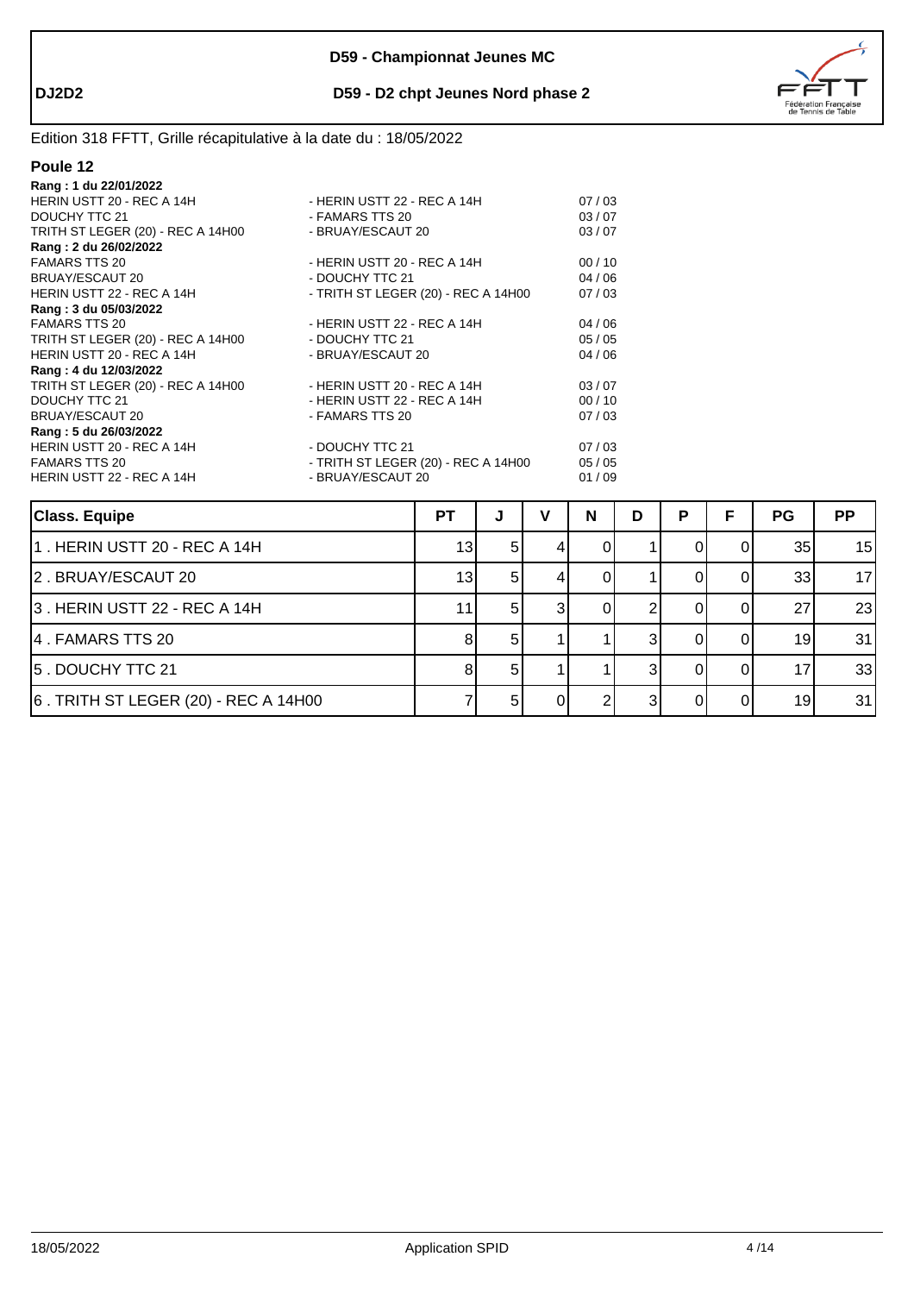



| - HERIN USTT 22 - REC A 14H         | 07/03 |
|-------------------------------------|-------|
| - FAMARS TTS 20                     | 03/07 |
| - BRUAY/ESCAUT 20                   | 03/07 |
|                                     |       |
| - HERIN USTT 20 - REC A 14H         | 00/10 |
| - DOUCHY TTC 21                     | 04/06 |
| - TRITH ST LEGER (20) - REC A 14H00 | 07/03 |
|                                     |       |
| - HERIN USTT 22 - REC A 14H         | 04/06 |
| - DOUCHY TTC 21                     | 05/05 |
| - BRUAY/ESCAUT 20                   | 04/06 |
|                                     |       |
| - HERIN USTT 20 - REC A 14H         | 03/07 |
| - HERIN USTT 22 - REC A 14H         | 00/10 |
| - FAMARS TTS 20                     | 07/03 |
|                                     |       |
| - DOUCHY TTC 21                     | 07/03 |
| - TRITH ST LEGER (20) - REC A 14H00 | 05/05 |
| - BRUAY/ESCAUT 20                   | 01/09 |
|                                     |       |

| <b>Class. Equipe</b>                 | <b>PT</b>       | J   | N | D | P | F | <b>PG</b> | <b>PP</b> |
|--------------------------------------|-----------------|-----|---|---|---|---|-----------|-----------|
| 1. HERIN USTT 20 - REC A 14H         | 13 <sub>1</sub> | 51  |   |   |   |   | 35        | 15        |
| 2. BRUAY/ESCAUT 20                   | 13              | 51  |   |   |   |   | 33        | 17        |
| 3. HERIN USTT 22 - REC A 14H         | 11              | -51 |   |   |   |   | 27        | 23        |
| 4. FAMARS TTS 20                     |                 | 5   |   |   |   |   | 19        | 31        |
| 5. DOUCHY TTC 21                     |                 | 51  |   |   |   |   | 17        | 33        |
| 6. TRITH ST LEGER (20) - REC A 14H00 |                 | 5   |   |   |   |   | 19        | 31        |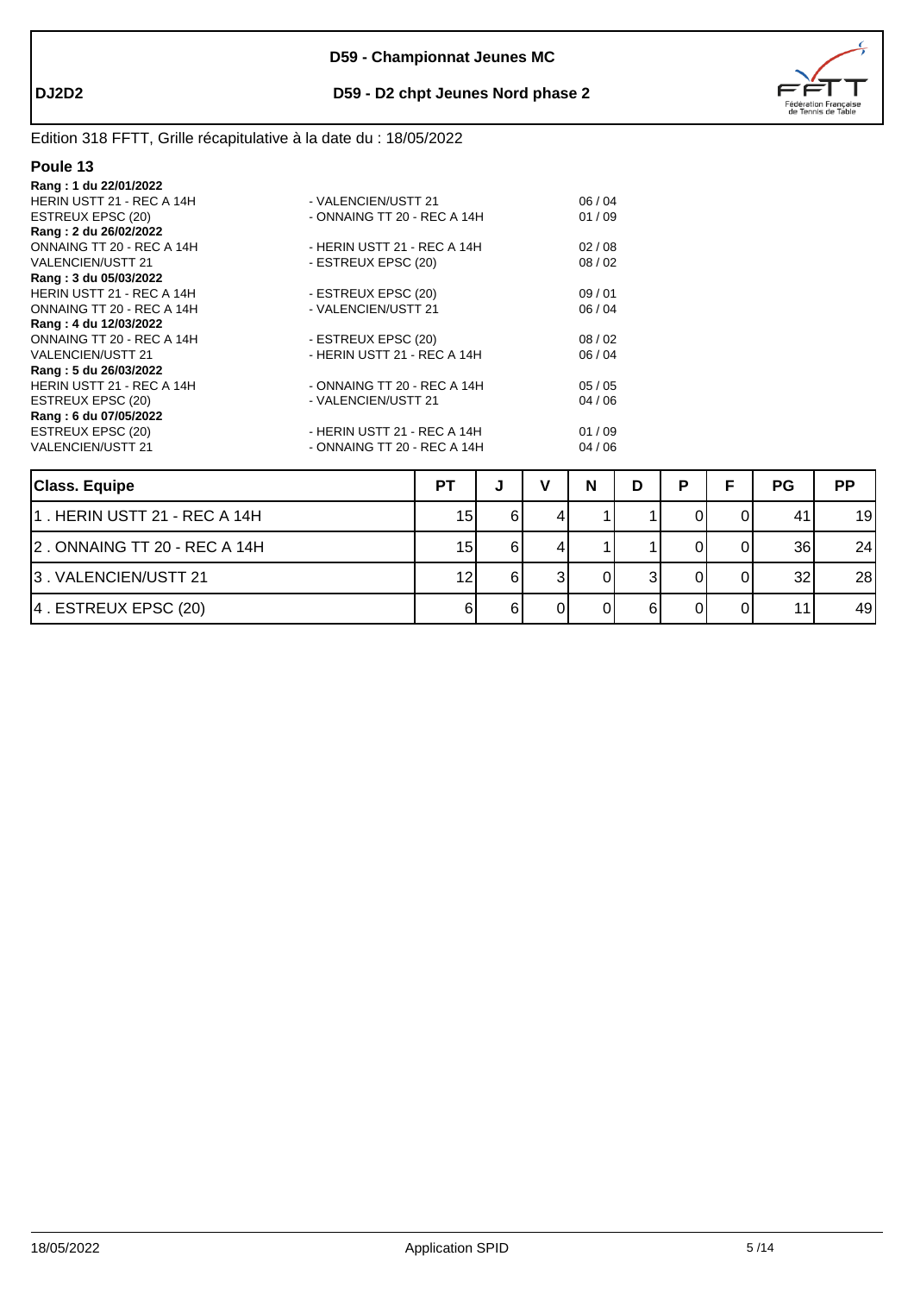

# Edition 318 FFTT, Grille récapitulative à la date du : 18/05/2022

| Rang: 1 du 22/01/2022     |                             |       |
|---------------------------|-----------------------------|-------|
| HERIN USTT 21 - REC A 14H | - VALENCIEN/USTT 21         | 06/04 |
| ESTREUX EPSC (20)         | - ONNAING TT 20 - REC A 14H | 01/09 |
| Rang: 2 du 26/02/2022     |                             |       |
| ONNAING TT 20 - REC A 14H | - HERIN USTT 21 - REC A 14H | 02/08 |
| VALENCIEN/USTT 21         | - ESTREUX EPSC (20)         | 08/02 |
| Rang: 3 du 05/03/2022     |                             |       |
| HERIN USTT 21 - REC A 14H | - ESTREUX EPSC (20)         | 09/01 |
| ONNAING TT 20 - REC A 14H | - VALENCIEN/USTT 21         | 06/04 |
| Rang: 4 du 12/03/2022     |                             |       |
| ONNAING TT 20 - REC A 14H | - ESTREUX EPSC (20)         | 08/02 |
| <b>VALENCIEN/USTT 21</b>  | - HERIN USTT 21 - REC A 14H | 06/04 |
| Rang: 5 du 26/03/2022     |                             |       |
| HERIN USTT 21 - REC A 14H | - ONNAING TT 20 - REC A 14H | 05/05 |
| ESTREUX EPSC (20)         | - VALENCIEN/USTT 21         | 04/06 |
| Rang: 6 du 07/05/2022     |                             |       |
| ESTREUX EPSC (20)         | - HERIN USTT 21 - REC A 14H | 01/09 |
| <b>VALENCIEN/USTT 21</b>  | - ONNAING TT 20 - REC A 14H | 04/06 |
|                           |                             |       |
|                           |                             |       |

| <b>Class. Equipe</b>           | P1 | w  | N | D | Þ | <b>PG</b> | <b>PP</b> |
|--------------------------------|----|----|---|---|---|-----------|-----------|
| 11 . HERIN USTT 21 - REC A 14H | 15 | 61 |   |   |   | 41        | 19        |
| 2. ONNAING TT 20 - REC A 14H   | 15 |    |   |   |   | 36        | 24        |
| 13. VALENCIEN/USTT 21          | 12 |    |   |   |   | 32        | 28        |
| 4. ESTREUX EPSC (20)           |    |    |   |   |   | 11        | 49        |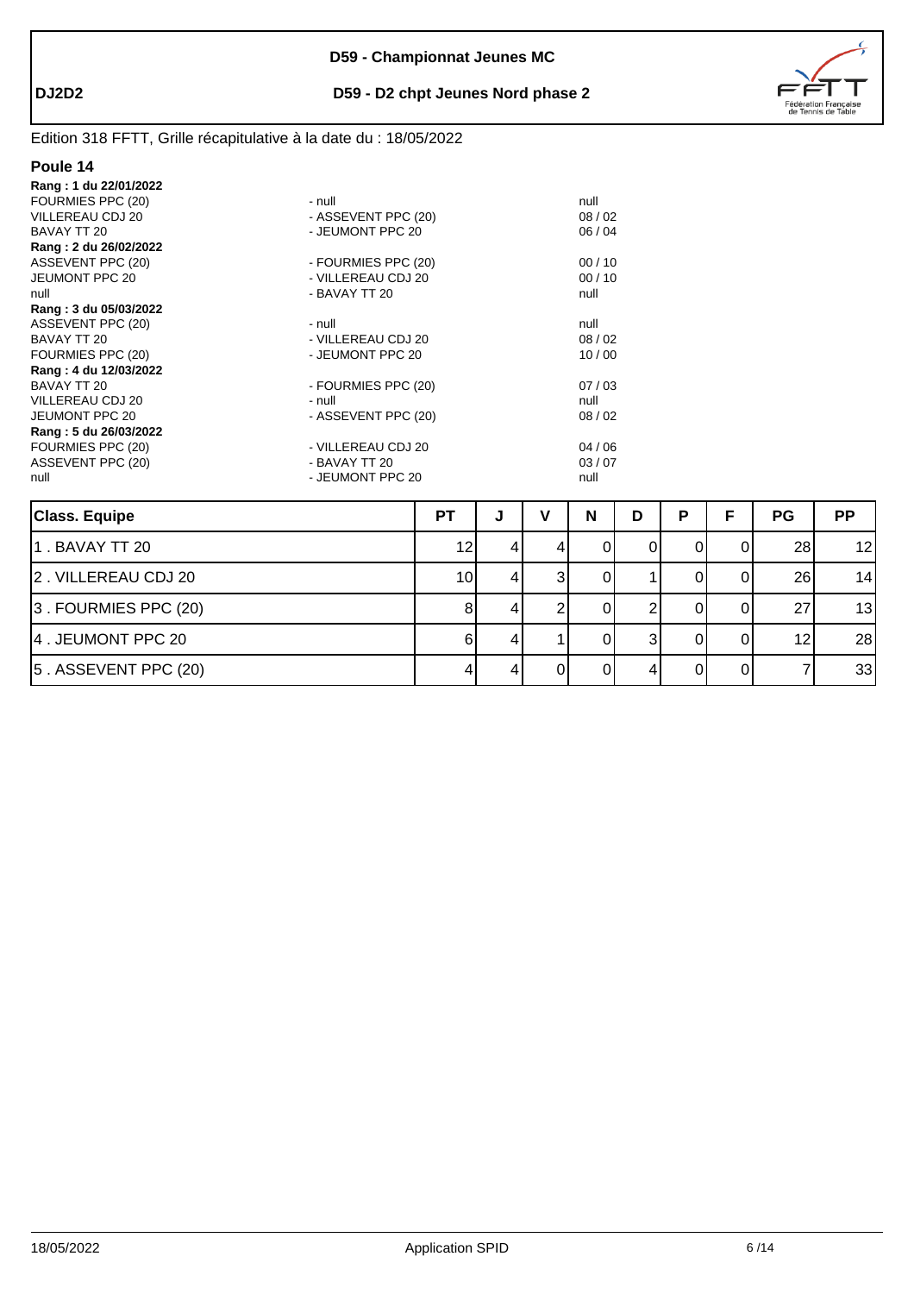

# Edition 318 FFTT, Grille récapitulative à la date du : 18/05/2022

| Rang: 1 du 22/01/2022 |                     |       |
|-----------------------|---------------------|-------|
| FOURMIES PPC (20)     | - null              | null  |
| VILLEREAU CDJ 20      | - ASSEVENT PPC (20) | 08/02 |
| BAVAY TT 20           | - JEUMONT PPC 20    | 06/04 |
| Rang: 2 du 26/02/2022 |                     |       |
| ASSEVENT PPC (20)     | - FOURMIES PPC (20) | 00/10 |
| <b>JEUMONT PPC 20</b> | - VILLEREAU CDJ 20  | 00/10 |
| null                  | - BAVAY TT 20       | null  |
| Rang: 3 du 05/03/2022 |                     |       |
| ASSEVENT PPC (20)     | - null              | null  |
| BAVAY TT 20           | - VILLEREAU CDJ 20  | 08/02 |
| FOURMIES PPC (20)     | - JEUMONT PPC 20    | 10/00 |
| Rang: 4 du 12/03/2022 |                     |       |
| BAVAY TT 20           | - FOURMIES PPC (20) | 07/03 |
| VILLEREAU CDJ 20      | - null              | null  |
| JEUMONT PPC 20        | - ASSEVENT PPC (20) | 08/02 |
| Rang: 5 du 26/03/2022 |                     |       |
| FOURMIES PPC (20)     | - VILLEREAU CDJ 20  | 04/06 |
| ASSEVENT PPC (20)     | - BAVAY TT 20       | 03/07 |
| null                  | - JEUMONT PPC 20    | null  |

| <b>Class. Equipe</b>       | <b>PT</b> | J | N | D | Þ |    | <b>PG</b>       | <b>PP</b> |
|----------------------------|-----------|---|---|---|---|----|-----------------|-----------|
| 1. BAVAY TT 20             | 12        |   |   |   |   | 01 | 28 <sub>l</sub> | 12        |
| 2. VILLEREAU CDJ 20        | 10        | 4 |   |   |   | 01 | 26              | 14        |
| $ 3$ . FOURMIES PPC $(20)$ |           |   |   |   |   |    | 27              | 13        |
| 4. JEUMONT PPC 20          |           |   |   |   |   |    | 12              | 28        |
| $ 5$ . ASSEVENT PPC (20)   |           |   |   |   |   |    |                 | 33        |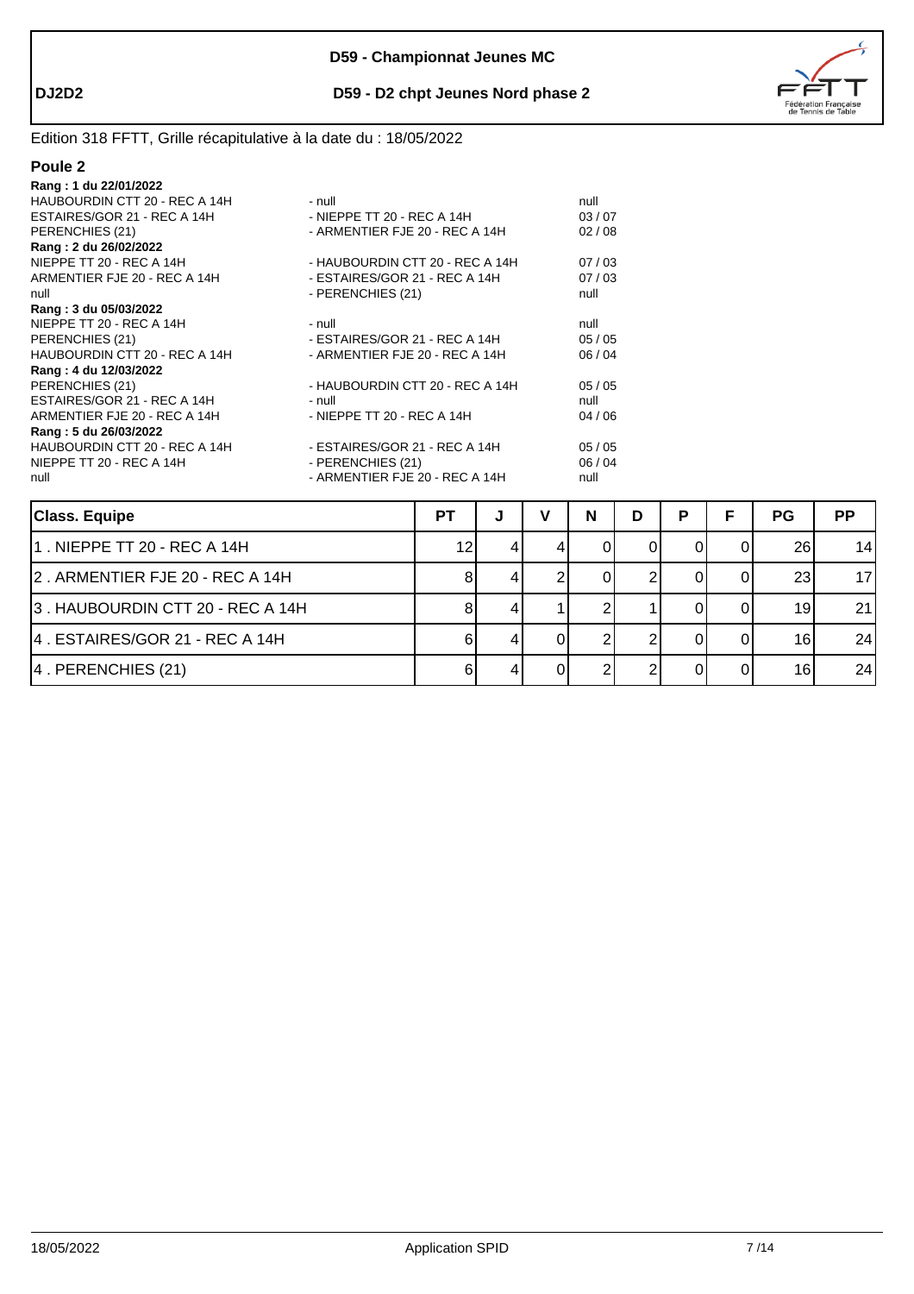



| Rang: 1 du 22/01/2022         |                                 |       |
|-------------------------------|---------------------------------|-------|
| HAUBOURDIN CTT 20 - REC A 14H | - null                          | null  |
| ESTAIRES/GOR 21 - REC A 14H   | - NIEPPE TT 20 - REC A 14H      | 03/07 |
| PERENCHIES (21)               | - ARMENTIER FJE 20 - REC A 14H  | 02/08 |
| Rang: 2 du 26/02/2022         |                                 |       |
| NIEPPE TT 20 - REC A 14H      | - HAUBOURDIN CTT 20 - REC A 14H | 07/03 |
| ARMENTIER FJE 20 - REC A 14H  | - ESTAIRES/GOR 21 - REC A 14H   | 07/03 |
| null                          | - PERENCHIES (21)               | null  |
| Rang: 3 du 05/03/2022         |                                 |       |
| NIEPPE TT 20 - REC A 14H      | - null                          | null  |
| PERENCHIES (21)               | - ESTAIRES/GOR 21 - REC A 14H   | 05/05 |
| HAUBOURDIN CTT 20 - REC A 14H | - ARMENTIER FJE 20 - REC A 14H  | 06/04 |
| Rang: 4 du 12/03/2022         |                                 |       |
| PERENCHIES (21)               | - HAUBOURDIN CTT 20 - REC A 14H | 05/05 |
| ESTAIRES/GOR 21 - REC A 14H   | - null                          | null  |
| ARMENTIER FJE 20 - REC A 14H  | - NIEPPE TT 20 - REC A 14H      | 04/06 |
| Rang: 5 du 26/03/2022         |                                 |       |
| HAUBOURDIN CTT 20 - REC A 14H | - ESTAIRES/GOR 21 - REC A 14H   | 05/05 |
| NIEPPE TT 20 - REC A 14H      | - PERENCHIES (21)               | 06/04 |
| null                          | - ARMENTIER FJE 20 - REC A 14H  | null  |

| <b>Class. Equipe</b>             | <b>PT</b> | J | N | D | P | <b>PG</b> | <b>PP</b> |
|----------------------------------|-----------|---|---|---|---|-----------|-----------|
| l1 . NIEPPE TT 20 - REC A 14H    | 12        |   |   |   |   | 26        | 14        |
| 2. ARMENTIER FJE 20 - REC A 14H  |           |   |   |   |   | 23        | 17        |
| 3. HAUBOURDIN CTT 20 - REC A 14H |           |   |   |   |   | 19        | 21        |
| 4. ESTAIRES/GOR 21 - REC A 14H   |           |   |   |   |   | 16        | 24        |
| 4. PERENCHIES (21)               |           |   |   |   |   | 16        | 24        |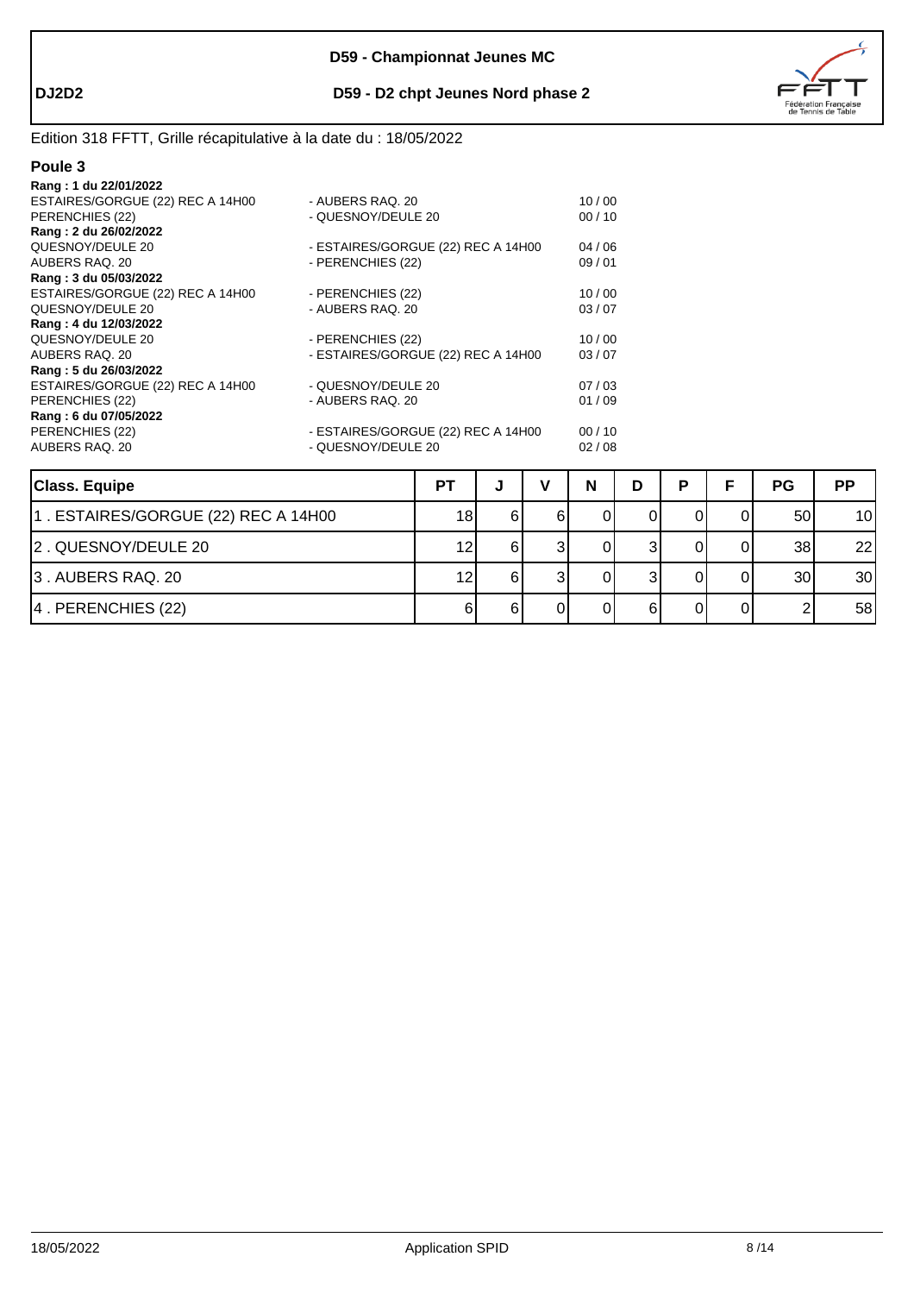

# Edition 318 FFTT, Grille récapitulative à la date du : 18/05/2022

| Rang: 1 du 22/01/2022            |                                    |       |
|----------------------------------|------------------------------------|-------|
| ESTAIRES/GORGUE (22) REC A 14H00 | - AUBERS RAQ. 20                   | 10/00 |
| PERENCHIES (22)                  | - QUESNOY/DEULE 20                 | 00/10 |
| Rang: 2 du 26/02/2022            |                                    |       |
| QUESNOY/DEULE 20                 | - ESTAIRES/GORGUE (22) REC A 14H00 | 04/06 |
| AUBERS RAQ, 20                   | - PERENCHIES (22)                  | 09/01 |
| Rang: 3 du 05/03/2022            |                                    |       |
| ESTAIRES/GORGUE (22) REC A 14H00 | - PERENCHIES (22)                  | 10/00 |
| QUESNOY/DEULE 20                 | - AUBERS RAQ, 20                   | 03/07 |
| Rang: 4 du 12/03/2022            |                                    |       |
| QUESNOY/DEULE 20                 | - PERENCHIES (22)                  | 10/00 |
| AUBERS RAQ, 20                   | - ESTAIRES/GORGUE (22) REC A 14H00 | 03/07 |
| Rang: 5 du 26/03/2022            |                                    |       |
| ESTAIRES/GORGUE (22) REC A 14H00 | - QUESNOY/DEULE 20                 | 07/03 |
| PERENCHIES (22)                  | - AUBERS RAQ, 20                   | 01/09 |
| Rang: 6 du 07/05/2022            |                                    |       |
| PERENCHIES (22)                  | - ESTAIRES/GORGUE (22) REC A 14H00 | 00/10 |
| AUBERS RAQ, 20                   | - QUESNOY/DEULE 20                 | 02/08 |
|                                  |                                    |       |

| <b>Class. Equipe</b>                | P1 | w  | N | D | D |    | PG              | <b>PP</b> |
|-------------------------------------|----|----|---|---|---|----|-----------------|-----------|
| 1. ESTAIRES/GORGUE (22) REC A 14H00 | 18 |    |   |   |   |    | 50              | 10        |
| 2. QUESNOY/DEULE 20                 | 12 |    |   |   |   |    | 38              | 22        |
| 3. AUBERS RAQ. 20                   | 12 | 61 |   |   |   |    | 30 <sub>l</sub> | 30        |
| 4. PERENCHIES (22)                  |    |    |   |   |   | ΩI |                 | 58        |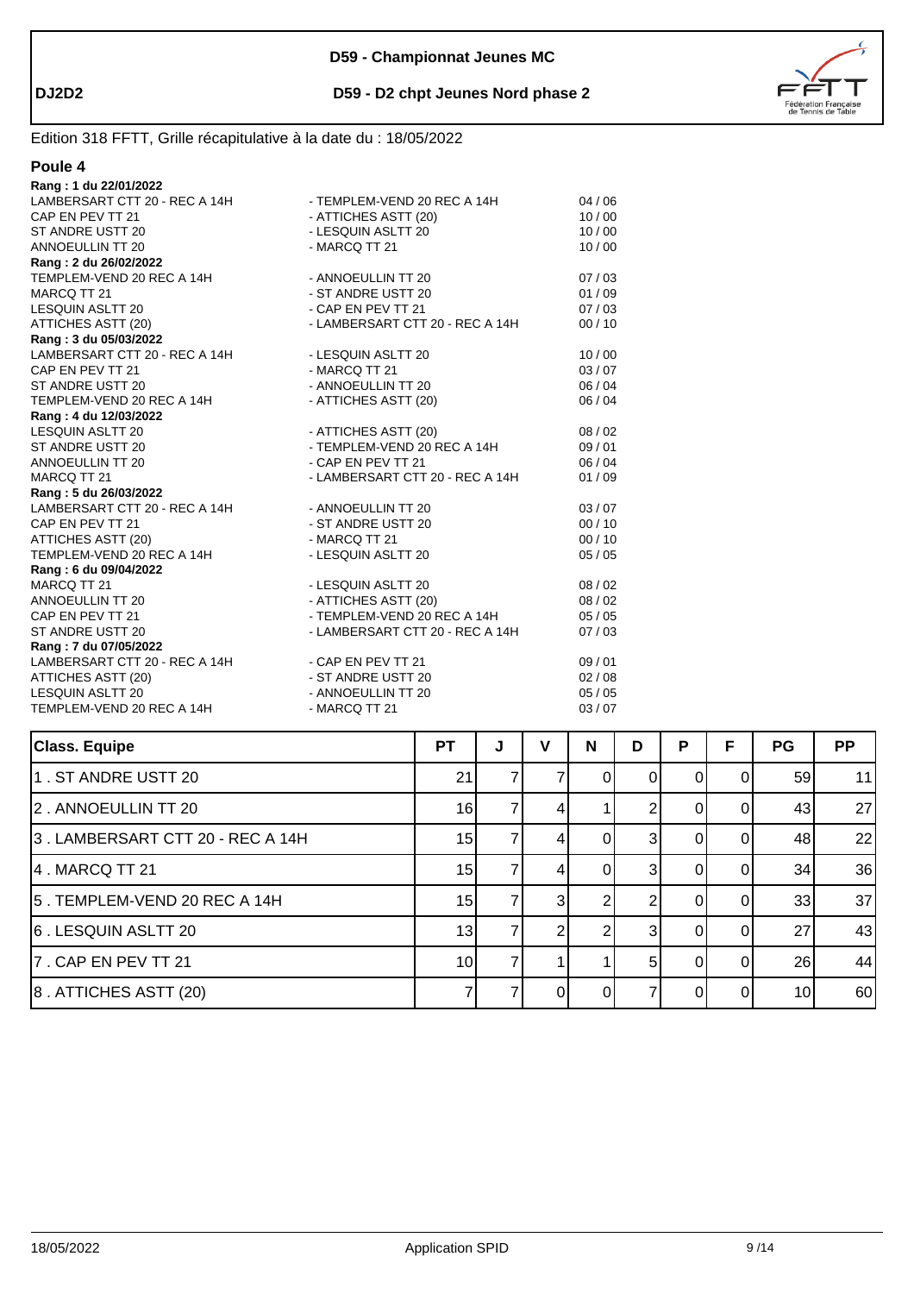



| Rang: 1 du 22/01/2022                            |                                 |         |
|--------------------------------------------------|---------------------------------|---------|
| LAMBERSART CTT 20 - REC A 14H                    | - TEMPLEM-VEND 20 REC A 14H     | 04/06   |
| CAP EN PEV TT 21                                 | - ATTICHES ASTT (20)            | 10/00   |
| ST ANDRE USTT 20                                 | - LESQUIN ASLTT 20              | 10/00   |
| <b>ANNOEULLIN TT 20</b>                          | - MARCQ TT 21                   | 10/00   |
| Rang: 2 du 26/02/2022                            |                                 |         |
| TEMPLEM-VEND 20 REC A 14H                        | - ANNOEULLIN TT 20              | 07/03   |
| MARCQ TT 21                                      | - ST ANDRE USTT 20              | 01/09   |
| LESQUIN ASLTT 20                                 | - CAP EN PEV TT 21              | 07/03   |
| ATTICHES ASTT (20)                               | - LAMBERSART CTT 20 - REC A 14H | 00/10   |
| Rang: 3 du 05/03/2022                            |                                 |         |
| LAMBERSART CTT 20 - REC A 14H                    | - LESQUIN ASLTT 20              | 10/00   |
| CAP EN PEV TT 21                                 | - MARCQ TT 21                   | 03/07   |
| ST ANDRE USTT 20                                 | - ANNOEULLIN TT 20              | 06/04   |
| TEMPLEM-VEND 20 REC A 14H                        | - ATTICHES ASTT (20)            | 06 / 04 |
| Rang: 4 du 12/03/2022                            |                                 |         |
| LESQUIN ASLTT 20                                 | - ATTICHES ASTT (20)            | 08/02   |
| ST ANDRE USTT 20                                 | - TEMPLEM-VEND 20 REC A 14H     | 09/01   |
| ANNOEULLIN TT 20                                 | - CAP EN PEV TT 21              | 06 / 04 |
| MARCQ TT 21                                      | - LAMBERSART CTT 20 - REC A 14H | 01/09   |
| Rang: 5 du 26/03/2022                            |                                 |         |
| LAMBERSART CTT 20 - REC A 14H - ANNOEULLIN TT 20 |                                 | 03/07   |
| CAP EN PEV TT 21                                 | - ST ANDRE USTT 20              | 00/10   |
| ATTICHES ASTT (20)                               | - MARCQ TT 21                   | 00/10   |
| TEMPLEM-VEND 20 REC A 14H                        | - LESQUIN ASLTT 20              | 05/05   |
| Rang: 6 du 09/04/2022                            |                                 |         |
| MARCQ TT 21                                      | - LESQUIN ASLTT 20              | 08/02   |
| ANNOEULLIN TT 20                                 | - ATTICHES ASTT (20)            | 08/02   |
| CAP EN PEV TT 21                                 | - TEMPLEM-VEND 20 REC A 14H     | 05/05   |
| ST ANDRE USTT 20                                 | - LAMBERSART CTT 20 - REC A 14H | 07/03   |
| Rang: 7 du 07/05/2022                            |                                 |         |
| LAMBERSART CTT 20 - REC A 14H - CAP EN PEV TT 21 |                                 | 09/01   |
| ATTICHES ASTT (20)                               | - ST ANDRE USTT 20              | 02/08   |
| LESQUIN ASLTT 20                                 | - ANNOEULLIN TT 20              | 05/05   |
| TEMPLEM-VEND 20 REC A 14H                        | - MARCQ TT 21                   | 03/07   |
|                                                  |                                 |         |

| <b>Class. Equipe</b>             | РT              | J | v | N  | D             | P | F        | PG | <b>PP</b> |
|----------------------------------|-----------------|---|---|----|---------------|---|----------|----|-----------|
| 1. ST ANDRE USTT 20              | 21              |   |   |    |               |   |          | 59 | 11        |
| 2. ANNOEULLIN TT 20              | 16              |   |   |    |               |   |          | 43 | 27        |
| 3. LAMBERSART CTT 20 - REC A 14H | 15              |   | 4 | ΩI | 31            |   | $\Omega$ | 48 | 22        |
| 4. MARCQ TT 21                   | 15              |   | 4 |    | $\mathcal{B}$ |   | 0        | 34 | 36        |
| 5. TEMPLEM-VEND 20 REC A 14H     | 15              |   | 3 |    |               |   |          | 33 | 37        |
| 6 . LESQUIN ASLTT 20             | 13              |   |   |    | 3             |   |          | 27 | 43        |
| 7. CAP EN PEV TT 21              | 10 <sup>1</sup> |   |   |    |               |   |          | 26 | 44        |
| 8. ATTICHES ASTT (20)            |                 |   |   |    |               |   |          | 10 | 60        |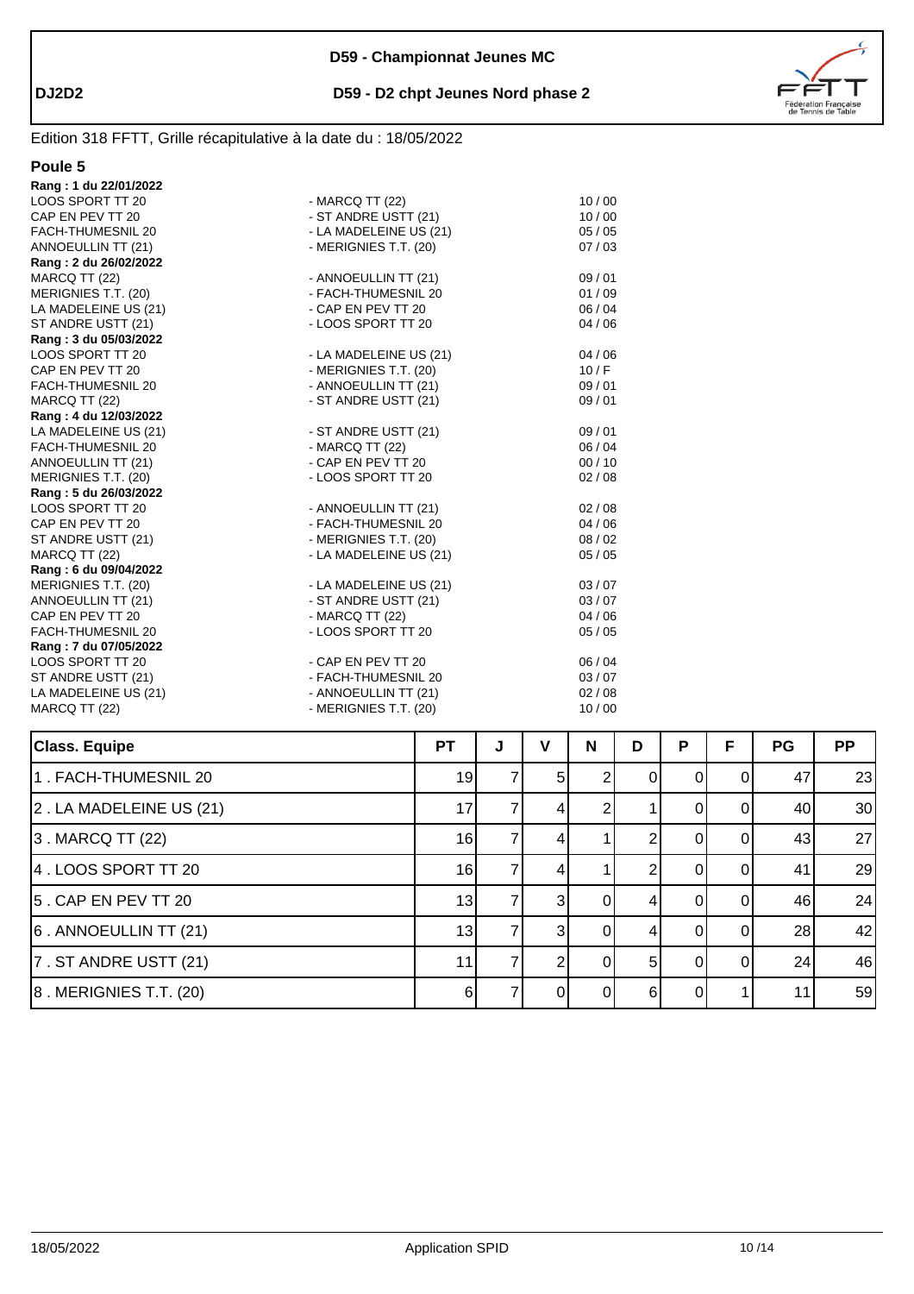

# Edition 318 FFTT, Grille récapitulative à la date du : 18/05/2022

| Rang: 1 du 22/01/2022 |                        |       |
|-----------------------|------------------------|-------|
| LOOS SPORT TT 20      | - MARCQ TT (22)        | 10/00 |
| CAP EN PEV TT 20      | - ST ANDRE USTT (21)   | 10/00 |
| FACH-THUMESNIL 20     | - LA MADELEINE US (21) | 05/05 |
| ANNOEULLIN TT (21)    | - MERIGNIES T.T. (20)  | 07/03 |
| Rang: 2 du 26/02/2022 |                        |       |
| MARCQ TT (22)         | - ANNOEULLIN TT (21)   | 09/01 |
| MERIGNIES T.T. (20)   | - FACH-THUMESNIL 20    | 01/09 |
| LA MADELEINE US (21)  | - CAP EN PEV TT 20     | 06/04 |
| ST ANDRE USTT (21)    | - LOOS SPORT TT 20     | 04/06 |
| Rang: 3 du 05/03/2022 |                        |       |
| LOOS SPORT TT 20      | - LA MADELEINE US (21) | 04/06 |
| CAP EN PEV TT 20      | - MERIGNIES T.T. (20)  | 10/F  |
| FACH-THUMESNIL 20     | - ANNOEULLIN TT (21)   | 09/01 |
| MARCQ TT (22)         | - ST ANDRE USTT (21)   | 09/01 |
| Rang: 4 du 12/03/2022 |                        |       |
| LA MADELEINE US (21)  | - ST ANDRE USTT (21)   | 09/01 |
| FACH-THUMESNIL 20     | - MARCQ TT (22)        | 06/04 |
| ANNOEULLIN TT (21)    | - CAP EN PEV TT 20     | 00/10 |
| MERIGNIES T.T. (20)   | - LOOS SPORT TT 20     | 02/08 |
| Rang: 5 du 26/03/2022 |                        |       |
| LOOS SPORT TT 20      | - ANNOEULLIN TT (21)   | 02/08 |
| CAP EN PEV TT 20      | - FACH-THUMESNIL 20    | 04/06 |
| ST ANDRE USTT (21)    | - MERIGNIES T.T. (20)  | 08/02 |
| MARCQ TT (22)         | - LA MADELEINE US (21) | 05/05 |
| Rang: 6 du 09/04/2022 |                        |       |
| MERIGNIES T.T. (20)   | - LA MADELEINE US (21) | 03/07 |
| ANNOEULLIN TT (21)    | - ST ANDRE USTT (21)   | 03/07 |
| CAP EN PEV TT 20      | - MARCQ TT (22)        | 04/06 |
| FACH-THUMESNIL 20     | - LOOS SPORT TT 20     | 05/05 |
| Rang: 7 du 07/05/2022 |                        |       |
| LOOS SPORT TT 20      | - CAP EN PEV TT 20     | 06/04 |
| ST ANDRE USTT (21)    | - FACH-THUMESNIL 20    | 03/07 |
| LA MADELEINE US (21)  | - ANNOEULLIN TT (21)   | 02/08 |
| MARCQ TT (22)         | - MERIGNIES T.T. (20)  | 10/00 |
|                       |                        |       |

| <b>Class. Equipe</b>         | <b>PT</b> | J | v              | N | D | P | F        | PG | PP |
|------------------------------|-----------|---|----------------|---|---|---|----------|----|----|
| 1. FACH-THUMESNIL 20         | 19        |   | 5 <sub>l</sub> |   | 0 | 0 | $\Omega$ | 47 | 23 |
| 2. LA MADELEINE US (21)      | 17        |   | 4              | ⌒ |   | O | $\Omega$ | 40 | 30 |
| 3. MARCQ TT (22)             | 16        |   | 4              |   |   |   |          | 43 | 27 |
| 4. LOOS SPORT TT 20          | 16        |   | 4              |   |   |   |          | 41 | 29 |
| 5. CAP EN PEV TT 20          | 13        |   | 31             | 0 |   |   |          | 46 | 24 |
| 6. ANNOEULLIN TT (21)        | 13        |   | 3 <sup>l</sup> | 0 |   |   | 01       | 28 | 42 |
| 7. ST ANDRE USTT (21)        | 11        |   |                | 0 | 5 | O | ΩI       | 24 | 46 |
| $ 8$ . MERIGNIES T.T. $(20)$ | 61        |   | ΩI             | 0 | 6 |   |          | 11 | 59 |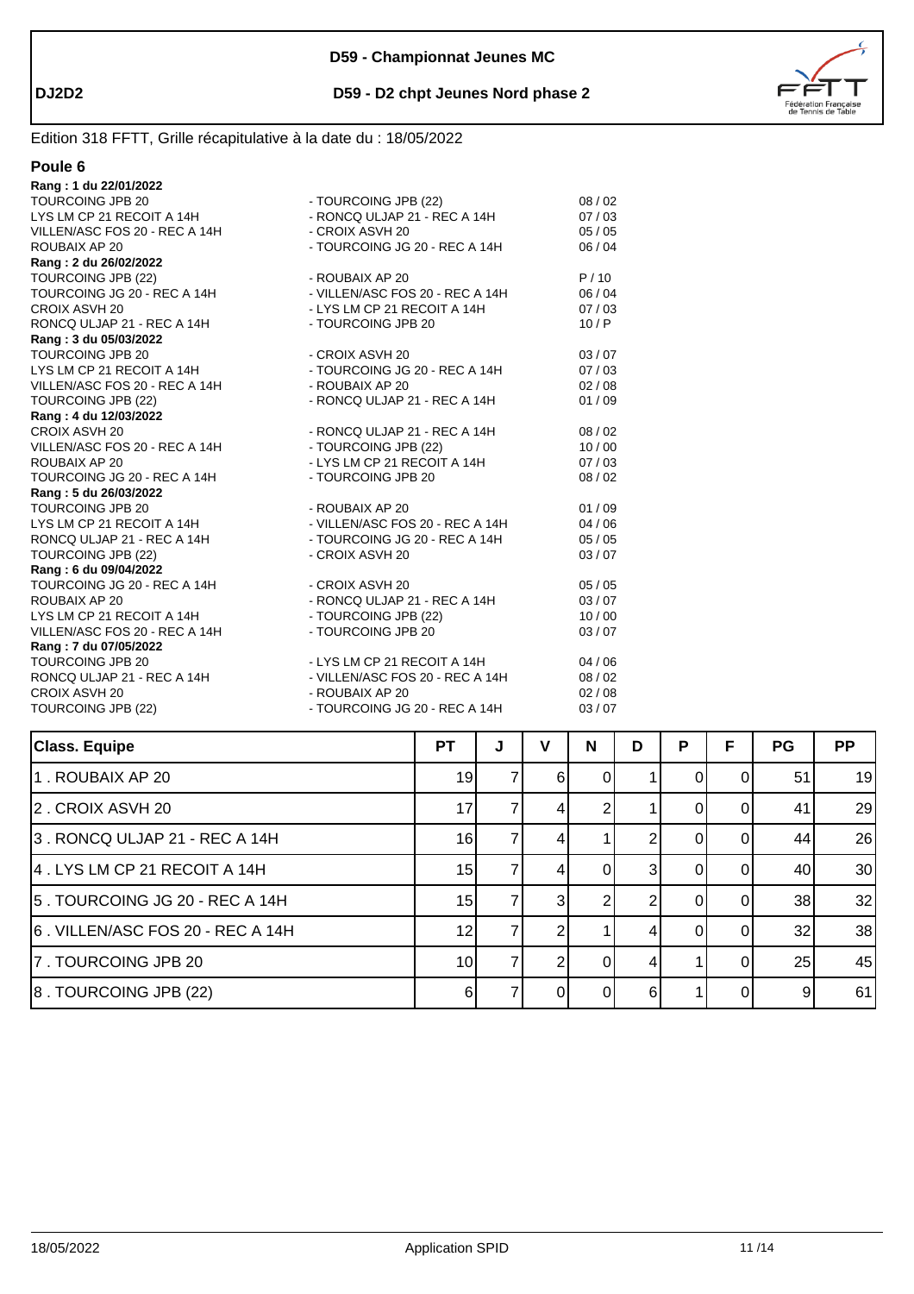

Έ

#### Edition 318 FFTT, Grille récapitulative à la date du : 18/05/2022

| וור<br>ı |  |
|----------|--|
|          |  |

| Rang: 1 du 22/01/2022         |                                 |       |
|-------------------------------|---------------------------------|-------|
| <b>TOURCOING JPB 20</b>       | - TOURCOING JPB (22)            | 08/02 |
| LYS LM CP 21 RECOIT A 14H     | - RONCQ ULJAP 21 - REC A 14H    | 07/03 |
| VILLEN/ASC FOS 20 - REC A 14H | - CROIX ASVH 20                 | 05/05 |
| ROUBAIX AP 20                 | - TOURCOING JG 20 - REC A 14H   | 06/04 |
| Rang: 2 du 26/02/2022         |                                 |       |
| TOURCOING JPB (22)            | - ROUBAIX AP 20                 | P/10  |
| TOURCOING JG 20 - REC A 14H   | - VILLEN/ASC FOS 20 - REC A 14H | 06/04 |
| CROIX ASVH 20                 | - LYS LM CP 21 RECOIT A 14H     | 07/03 |
| RONCQ ULJAP 21 - REC A 14H    | - TOURCOING JPB 20              | 10/P  |
| Rang: 3 du 05/03/2022         |                                 |       |
| <b>TOURCOING JPB 20</b>       | - CROIX ASVH 20                 | 03/07 |
| LYS LM CP 21 RECOIT A 14H     | - TOURCOING JG 20 - REC A 14H   | 07/03 |
| VILLEN/ASC FOS 20 - REC A 14H | - ROUBAIX AP 20                 | 02/08 |
| TOURCOING JPB (22)            | - RONCQ ULJAP 21 - REC A 14H    | 01/09 |
| Rang: 4 du 12/03/2022         |                                 |       |
| CROIX ASVH 20                 | - RONCQ ULJAP 21 - REC A 14H    | 08/02 |
| VILLEN/ASC FOS 20 - REC A 14H | - TOURCOING JPB (22)            | 10/00 |
| ROUBAIX AP 20                 | - LYS LM CP 21 RECOIT A 14H     | 07/03 |
| TOURCOING JG 20 - REC A 14H   | - TOURCOING JPB 20              | 08/02 |
| Rang: 5 du 26/03/2022         |                                 |       |
| <b>TOURCOING JPB 20</b>       | - ROUBAIX AP 20                 | 01/09 |
| LYS LM CP 21 RECOIT A 14H     | - VILLEN/ASC FOS 20 - REC A 14H | 04/06 |
| RONCQ ULJAP 21 - REC A 14H    | - TOURCOING JG 20 - REC A 14H   | 05/05 |
| TOURCOING JPB (22)            | - CROIX ASVH 20                 | 03/07 |
| Rang: 6 du 09/04/2022         |                                 |       |
| TOURCOING JG 20 - REC A 14H   | - CROIX ASVH 20                 | 05/05 |
| ROUBAIX AP 20                 | - RONCQ ULJAP 21 - REC A 14H    | 03/07 |
| LYS LM CP 21 RECOIT A 14H     | - TOURCOING JPB (22)            | 10/00 |
| VILLEN/ASC FOS 20 - REC A 14H | - TOURCOING JPB 20              | 03/07 |
| Rang: 7 du 07/05/2022         |                                 |       |
| <b>TOURCOING JPB 20</b>       | - LYS LM CP 21 RECOIT A 14H     | 04/06 |
| RONCQ ULJAP 21 - REC A 14H    | - VILLEN/ASC FOS 20 - REC A 14H | 08/02 |
| CROIX ASVH 20                 | - ROUBAIX AP 20                 | 02/08 |
| TOURCOING JPB (22)            | - TOURCOING JG 20 - REC A 14H   | 03/07 |
|                               |                                 |       |

| <b>Class. Equipe</b>             | РT              | J | v | N        | D | P | F | PG | <b>PP</b> |
|----------------------------------|-----------------|---|---|----------|---|---|---|----|-----------|
| 1. ROUBAIX AP 20                 | 19              |   | 6 |          |   |   |   | 51 | 19        |
| 2. CROIX ASVH 20                 | 17              |   |   |          |   |   |   | 41 | 29        |
| 3. RONCQ ULJAP 21 - REC A 14H    | 16              |   | 4 |          |   |   |   | 44 | 26        |
| 4 . LYS LM CP 21 RECOIT A 14H    | 15              |   |   |          |   |   |   | 40 | 30        |
| 5. TOURCOING JG 20 - REC A 14H   | 15              |   | 3 |          |   |   |   | 38 | 32        |
| 6. VILLEN/ASC FOS 20 - REC A 14H | 12              |   |   |          | 4 |   | 0 | 32 | 38        |
| 7. TOURCOING JPB 20              | 10 <sup>1</sup> |   |   | $\Omega$ | 4 |   |   | 25 | 45        |
| 8. TOURCOING JPB (22)            | 6               |   |   |          | 6 |   |   | 9  | 61        |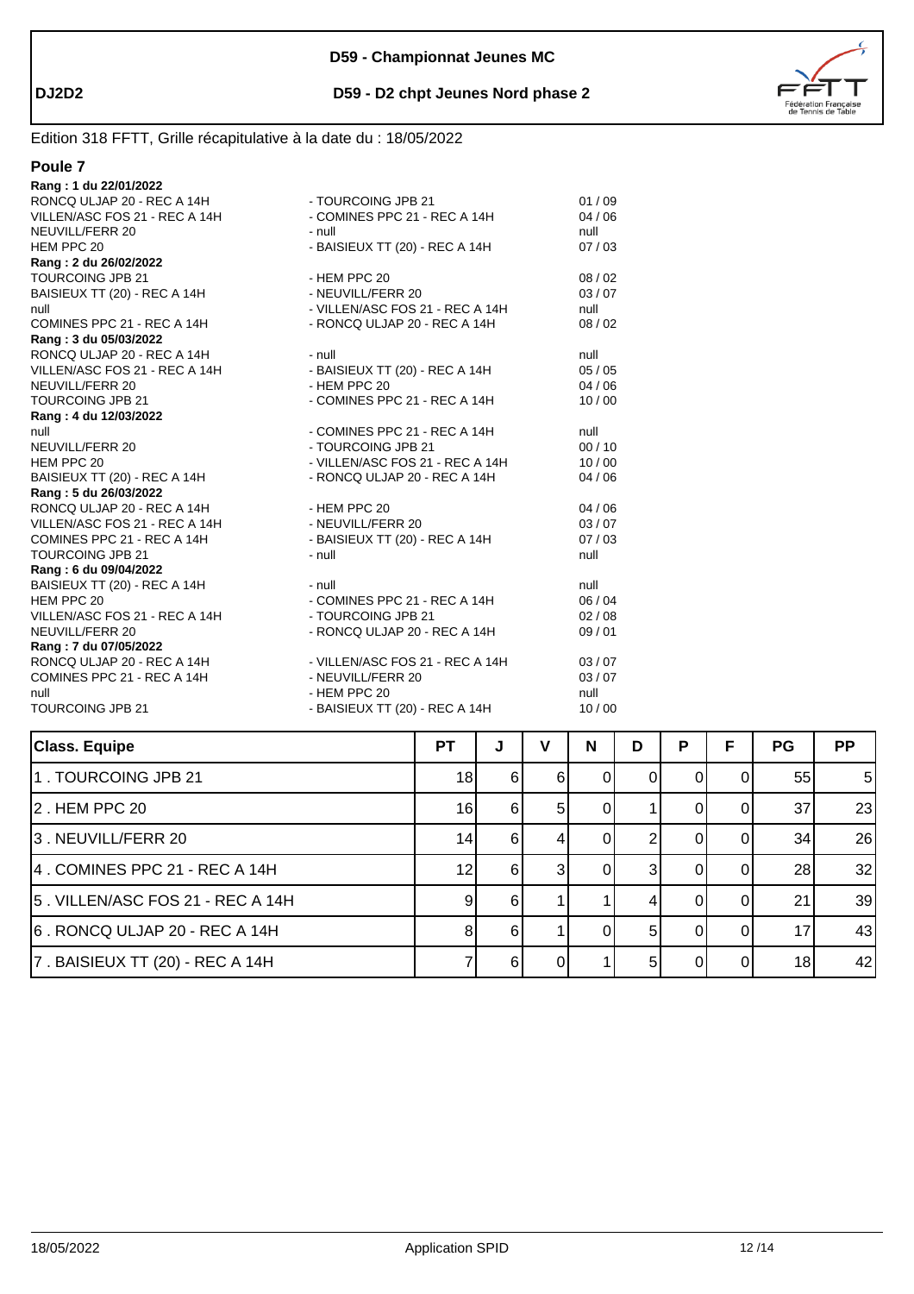

# Edition 318 FFTT, Grille récapitulative à la date du : 18/05/2022

| - TOURCOING JPB 21              | 01/09                                                            |
|---------------------------------|------------------------------------------------------------------|
| - COMINES PPC 21 - REC A 14H    | 04/06                                                            |
| - null                          | null                                                             |
| - BAISIEUX TT (20) - REC A 14H  | 07/03                                                            |
|                                 |                                                                  |
| - HEM PPC 20                    | 08/02                                                            |
| - NEUVILL/FERR 20               | 03/07                                                            |
| - VILLEN/ASC FOS 21 - REC A 14H | null                                                             |
| - RONCQ ULJAP 20 - REC A 14H    | 08/02                                                            |
|                                 |                                                                  |
| - null                          | null                                                             |
| - BAISIEUX TT (20) - REC A 14H  | 05/05                                                            |
| - HEM PPC 20                    | 04/06                                                            |
| - COMINES PPC 21 - REC A 14H    | 10/00                                                            |
|                                 |                                                                  |
| - COMINES PPC 21 - REC A 14H    | null                                                             |
| - TOURCOING JPB 21              | 00/10                                                            |
| - VILLEN/ASC FOS 21 - REC A 14H | 10/00                                                            |
| - RONCQ ULJAP 20 - REC A 14H    | 04/06                                                            |
|                                 |                                                                  |
| - HEM PPC 20                    | 04/06                                                            |
| - NEUVILL/FERR 20               | 03/07                                                            |
|                                 | 07/03                                                            |
| - null                          | null                                                             |
|                                 |                                                                  |
| $-$ null                        | null                                                             |
| - COMINES PPC 21 - REC A 14H    | 06/04                                                            |
| - TOURCOING JPB 21              | 02/08                                                            |
| - RONCQ ULJAP 20 - REC A 14H    | 09/01                                                            |
|                                 |                                                                  |
| - VILLEN/ASC FOS 21 - REC A 14H | 03/07                                                            |
| - NEUVILL/FERR 20               | 03/07                                                            |
| - HEM PPC 20                    | null                                                             |
|                                 | 10/00                                                            |
|                                 | - BAISIEUX TT (20) - REC A 14H<br>- BAISIEUX TT (20) - REC A 14H |

| <b>Class. Equipe</b>             | <b>PT</b> | J   | v  | N | D   | P | F  | <b>PG</b> | <b>PP</b> |
|----------------------------------|-----------|-----|----|---|-----|---|----|-----------|-----------|
| 1. TOURCOING JPB 21              | 18        | 6   | 61 |   |     |   |    | 55        | 5         |
| 2. HEM PPC 20                    | 16        | 61  | 51 |   |     |   |    | 37        | 23        |
| 3. NEUVILL/FERR 20               | 14        | 61  |    |   |     |   |    | 34        | 26        |
| 4. COMINES PPC 21 - REC A 14H    | 12        | 61  |    |   |     |   | ΩI | 28        | 32        |
| 5. VILLEN/ASC FOS 21 - REC A 14H | 9         | -61 |    |   |     |   |    | 21        | 39        |
| 6. RONCQ ULJAP 20 - REC A 14H    |           | 6   |    |   | 5   |   |    | 17        | 43        |
| 7. BAISIEUX TT (20) - REC A 14H  |           | -61 |    |   | .5I |   | ΩI | 18        | 42        |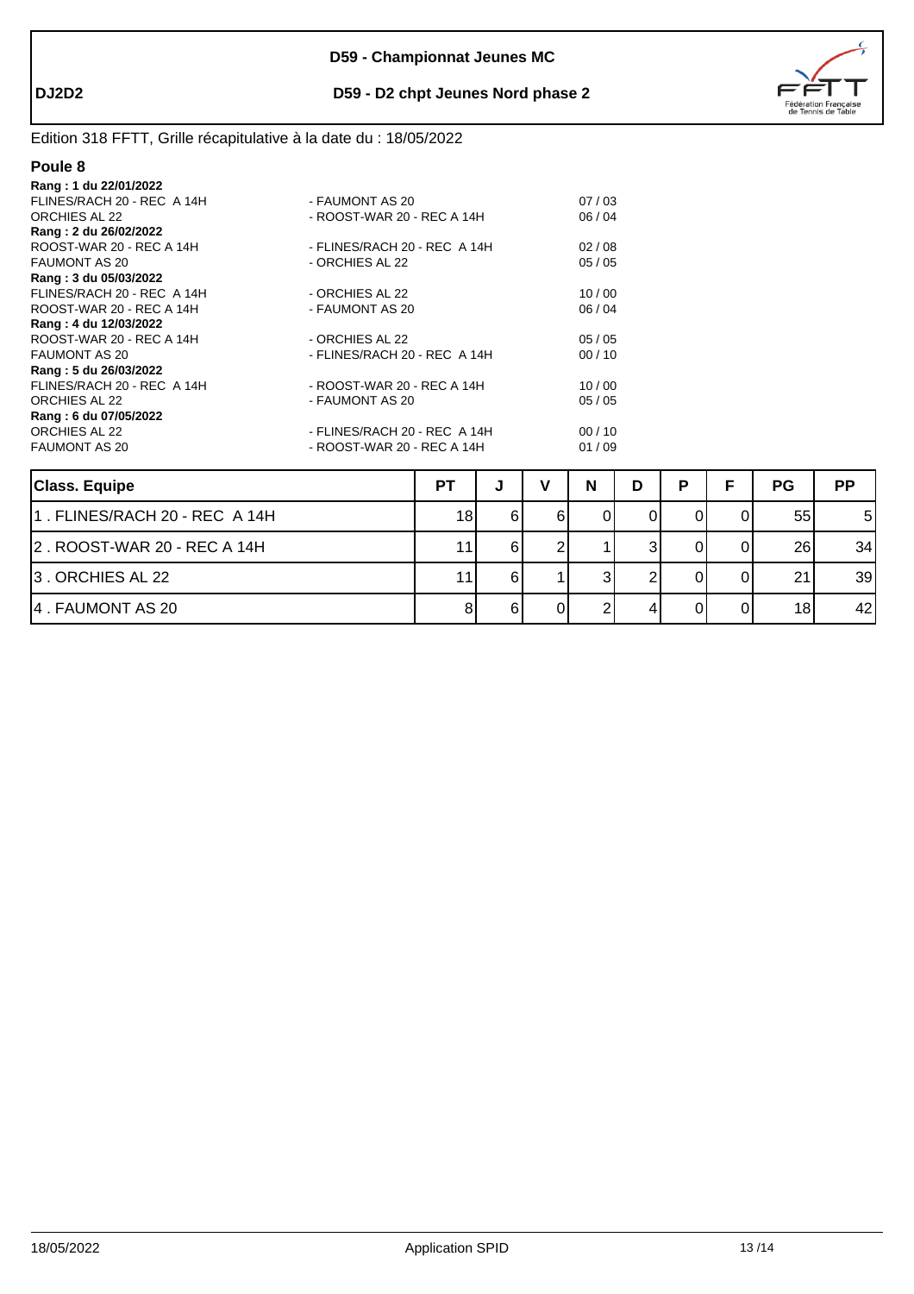

# Edition 318 FFTT, Grille récapitulative à la date du : 18/05/2022

| Rang: 1 du 22/01/2022      |                              |       |
|----------------------------|------------------------------|-------|
| FLINES/RACH 20 - REC A 14H | - FAUMONT AS 20              | 07/03 |
| ORCHIES AL 22              | - ROOST-WAR 20 - REC A 14H   | 06/04 |
| Rang: 2 du 26/02/2022      |                              |       |
| ROOST-WAR 20 - REC A 14H   | - FLINES/RACH 20 - REC A 14H | 02/08 |
| <b>FAUMONT AS 20</b>       | - ORCHIES AL 22              | 05/05 |
| Rang: 3 du 05/03/2022      |                              |       |
| FLINES/RACH 20 - REC A 14H | - ORCHIES AL 22              | 10/00 |
| ROOST-WAR 20 - REC A 14H   | - FAUMONT AS 20              | 06/04 |
| Rang: 4 du 12/03/2022      |                              |       |
| ROOST-WAR 20 - REC A 14H   | - ORCHIES AL 22              | 05/05 |
| <b>FAUMONT AS 20</b>       | - FLINES/RACH 20 - REC A 14H | 00/10 |
| Rang: 5 du 26/03/2022      |                              |       |
| FLINES/RACH 20 - REC A 14H | - ROOST-WAR 20 - REC A 14H   | 10/00 |
| ORCHIES AL 22              | - FAUMONT AS 20              | 05/05 |
| Rang: 6 du 07/05/2022      |                              |       |
| ORCHIES AL 22              | - FLINES/RACH 20 - REC A 14H | 00/10 |
| <b>FAUMONT AS 20</b>       | - ROOST-WAR 20 - REC A 14H   | 01/09 |
|                            |                              |       |
|                            |                              |       |

| <b>Class. Equipe</b>          | PT | w  | N | D | Þ | <b>PG</b> | <b>PP</b> |
|-------------------------------|----|----|---|---|---|-----------|-----------|
| 1. FLINES/RACH 20 - REC A 14H | 18 |    |   |   |   | 55        | 5         |
| 2. ROOST-WAR 20 - REC A 14H   | 11 |    |   |   |   | 26        | 34        |
| 3. ORCHIES AL 22              | 11 | 61 |   |   |   | 21        | 39        |
| 4. FAUMONT AS 20              |    |    |   |   |   | 18        | 42        |